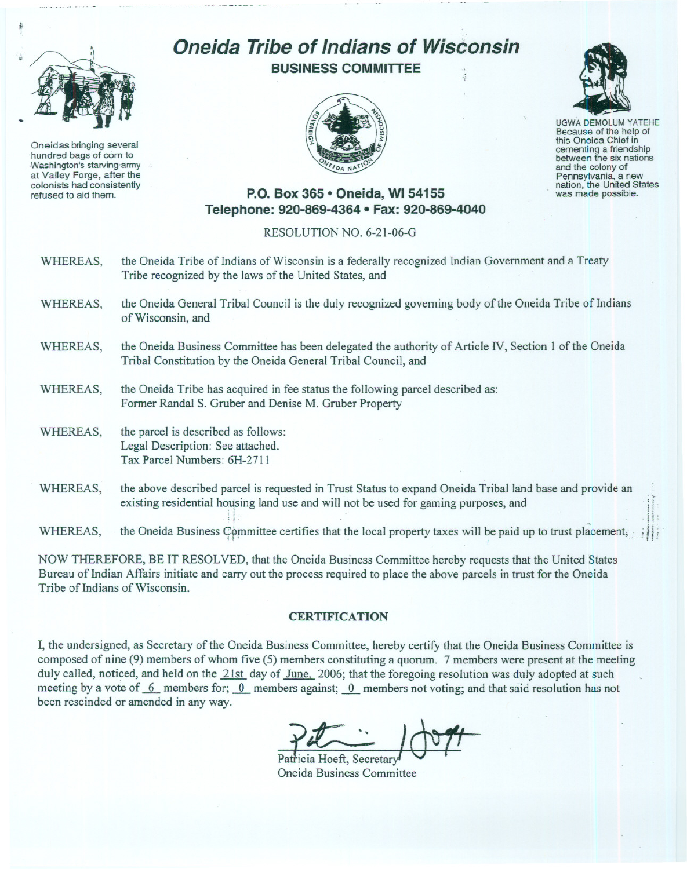

Oneidas bringing several 'hundred bags of corn to Washington's starving army at Valley Forge, after the colonists had consistently refused to aid them.

## **Oneida Tribe of Indians of Wisconsin**

**BUSINESS COMMITTEE**





UGWA DEMOLUM YATEHE Because of the help of this Oneida Chief in<br>cementing a friendship between the six nations and the colony of<br>Pennsylvania, a new nation, the United States was made possible.

## **P.O. Box 365 • Oneida, WI 54155 Telephone: 920-869-4364 • Fax: 920-869-4040**

## RESOLUTION NO. 6-21-06-G

- WHEREAS, the Oneida Tribe of Indians of Wisconsin is a federally recognized Indian Government and a Treaty Tribe recognized by the laws of the United States, and
- WHEREAS, the Oneida General Tribal Council is the duly recognized governing body of the Oneida Tribe of Indians of Wisconsin, and
- WHEREAS, the Oneida Business Committee has been delegated the authority of Article N, Section 1 of the Oneida Tribal Constitution by the Oneida General Tribal Council, and
- WHEREAS, the Oneida Tribe has acquired in fee status the following parcel described as: Former Randal S. Gruber and Denise M. Gruber Property
- WHEREAS, the parcel is described as follows: Legal Description: See attached. Tax Parcel Numbers: 6H-2711
- WHEREAS, the above described parcel is requested in Trust Status to expand Oneida Tribal land base and provide an existing residential housing land use and will not be used for gaming purposes, and existing residential homogeneous and will not be used for gamma  $\mathcal{C}$

WHEREAS, the Oneida Business Committee certifies that the local property taxes will be paid up to trust placement;

NOW THEREFORE, BE IT RESOLVED, that the Oneida Business Committee hereby requests that the United States Bureau of Indian Affairs initiate and carry out the process required to place the above parcels in trust for the Oneida Tribe of Indians of Wisconsin.

## **CERTIFICATION**

I, the undersigned, as Secretary of the Oneida Business Committee, hereby certify that the Oneida Business Committee is composed of nine (9) members of whom five (5) members constituting a quorum. 7 members were present at the meeting duly called, noticed, and held on the 21st day of June, 2006; that the foregoing resolution was duly adopted at such meeting by a vote of  $\overline{6}$  members for;  $\overline{0}$  members against;  $\overline{0}$  members not voting; and that said resolution has not been rescinded or amended in any way.

Patricia Hoeft, Secretary Oneida Business Committee